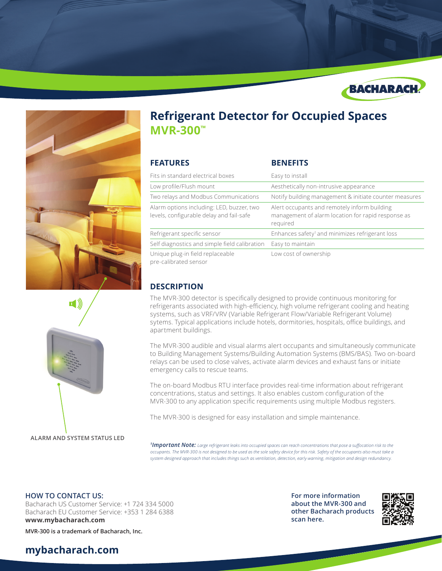





**ALARM AND SYSTEM STATUS LED**

# **Refrigerant Detector for Occupied Spaces MVR-300™**

| <b>FEATURES</b>                                                                       | <b>BENEFITS</b>                                                                                                |
|---------------------------------------------------------------------------------------|----------------------------------------------------------------------------------------------------------------|
| Fits in standard electrical boxes                                                     | Easy to install                                                                                                |
| Low profile/Flush mount                                                               | Aesthetically non-intrusive appearance                                                                         |
| Two relays and Modbus Communications                                                  | Notify building management & initiate counter measures                                                         |
| Alarm options including: LED, buzzer, two<br>levels, configurable delay and fail-safe | Alert occupants and remotely inform building<br>management of alarm location for rapid response as<br>required |
| Refrigerant specific sensor                                                           | Enhances safety <sup>1</sup> and minimizes refrigerant loss                                                    |
| Self diagnostics and simple field calibration                                         | Easy to maintain                                                                                               |
| Unique plug-in field replaceable<br>pre-calibrated sensor                             | Low cost of ownership                                                                                          |

### **DESCRIPTION**

The MVR-300 detector is specifically designed to provide continuous monitoring for refrigerants associated with high-efficiency, high volume refrigerant cooling and heating systems, such as VRF/VRV (Variable Refrigerant Flow/Variable Refrigerant Volume) sytems. Typical applications include hotels, dormitories, hospitals, office buildings, and apartment buildings.

The MVR-300 audible and visual alarms alert occupants and simultaneously communicate to Building Management Systems/Building Automation Systems (BMS/BAS). Two on-board relays can be used to close valves, activate alarm devices and exhaust fans or initiate emergency calls to rescue teams.

The on-board Modbus RTU interface provides real-time information about refrigerant concentrations, status and settings. It also enables custom configuration of the MVR-300 to any application specific requirements using multiple Modbus registers.

The MVR-300 is designed for easy installation and simple maintenance.

*1 Important Note: Large refrigerant leaks into occupied spaces can reach concentrations that pose a suffocation risk to the occupants. The MVR-300 is not designed to be used as the sole safety device for this risk. Safety of the occupants also must take a system designed approach that includes things such as ventilation, detection, early warning, mitigation and design redundancy.*

#### **HOW TO CONTACT US:**

Bacharach US Customer Service: +1 724 334 5000 Bacharach EU Customer Service: +353 1 284 6388 **www.mybacharach.com** 

**MVR-300 is a trademark of Bacharach, Inc.**

## **mybacharach.com**

**For more information about the MVR-300 and other Bacharach products scan here.**